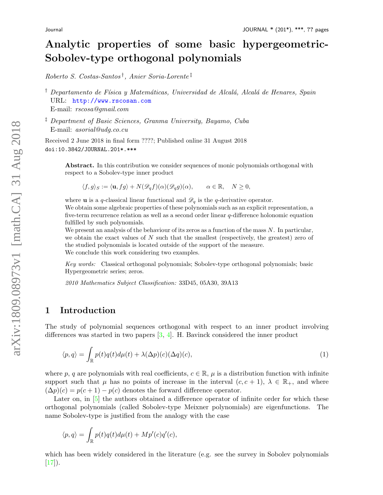# Analytic properties of some basic hypergeometric-Sobolev-type orthogonal polynomials

Roberto S. Costas-Santos † , Anier Soria-Lorente ‡

<sup>†</sup> Departamento de Física y Matemáticas, Universidad de Alcalá, Alcalá de Henares, Spain URL: <http://www.rscosan.com> E-mail: rscosa@gmail.com

‡ Department of Basic Sciences, Granma University, Bayamo, Cuba E-mail: asorial@udg.co.cu

Received 2 June 2018 in final form ????; Published online 31 August 2018 doi:10.3842/JOURNAL.201\*.\*\*\*

Abstract. In this contribution we consider sequences of monic polynomials orthogonal with respect to a Sobolev-type inner product

 $\langle f, q \rangle_S := \langle \mathbf{u}, f g \rangle + N(\mathscr{D}_a f)(\alpha) (\mathscr{D}_a g)(\alpha), \qquad \alpha \in \mathbb{R}, \quad N \geq 0,$ 

where **u** is a q-classical linear functional and  $\mathscr{D}_q$  is the q-derivative operator. We obtain some algebraic properties of these polynomials such as an explicit representation, a five-term recurrence relation as well as a second order linear q-difference holonomic equation fulfilled by such polynomials.

We present an analysis of the behaviour of its zeros as a function of the mass  $N$ . In particular, we obtain the exact values of  $N$  such that the smallest (respectively, the greatest) zero of the studied polynomials is located outside of the support of the measure. We conclude this work considering two examples.

Key words: Classical orthogonal polynomials; Sobolev-type orthogonal polynomials; basic Hypergeometric series; zeros.

2010 Mathematics Subject Classification: 33D45, 05A30, 39A13

# 1 Introduction

The study of polynomial sequences orthogonal with respect to an inner product involving differences was started in two papers [\[3,](#page-16-0) [4\]](#page-16-1). H. Bavinck considered the inner product

<span id="page-0-0"></span>
$$
\langle p, q \rangle = \int_{\mathbb{R}} p(t)q(t)d\mu(t) + \lambda(\Delta p)(c)(\Delta q)(c),\tag{1}
$$

where p, q are polynomials with real coefficients,  $c \in \mathbb{R}$ ,  $\mu$  is a distribution function with infinite support such that  $\mu$  has no points of increase in the interval  $(c, c + 1)$ ,  $\lambda \in \mathbb{R}_+$ , and where  $(\Delta p)(c) = p(c+1) - p(c)$  denotes the forward difference operator.

Later on, in  $\lceil 5 \rceil$  the authors obtained a difference operator of infinite order for which these orthogonal polynomials (called Sobolev-type Meixner polynomials) are eigenfunctions. The name Sobolev-type is justified from the analogy with the case

$$
\langle p, q \rangle = \int_{\mathbb{R}} p(t)q(t)d\mu(t) + Mp'(c)q'(c),
$$

which has been widely considered in the literature (e.g. see the survey in Sobolev polynomials  $[17]$ .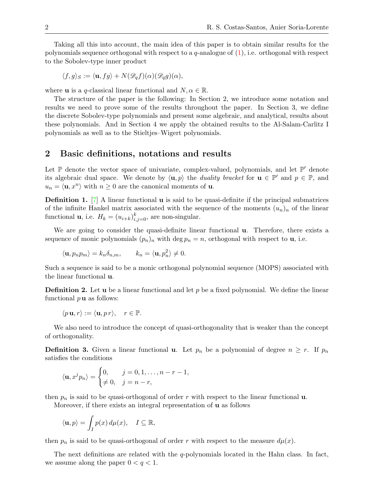Taking all this into account, the main idea of this paper is to obtain similar results for the polynomials sequence orthogonal with respect to a  $q$ -analogue of  $(1)$ , i.e. orthogonal with respect to the Sobolev-type inner product

$$
\langle f, g \rangle_S := \langle \mathbf{u}, fg \rangle + N(\mathscr{D}_q f)(\alpha)(\mathscr{D}_q g)(\alpha),
$$

where **u** is a q-classical linear functional and  $N, \alpha \in \mathbb{R}$ .

The structure of the paper is the following: In Section 2, we introduce some notation and results we need to prove some of the results throughout the paper. In Section 3, we define the discrete Sobolev-type polynomials and present some algebraic, and analytical, results about these polynomials. And in Section 4 we apply the obtained results to the Al-Salam-Carlitz I polynomials as well as to the Stieltjes–Wigert polynomials.

# 2 Basic definitions, notations and results

Let  $\mathbb P$  denote the vector space of univariate, complex-valued, polynomials, and let  $\mathbb P'$  denote its algebraic dual space. We denote by  $\langle \mathbf{u}, p \rangle$  the *duality bracket* for  $\mathbf{u} \in \mathbb{P}'$  and  $p \in \mathbb{P}$ , and  $u_n = \langle \mathbf{u}, x^n \rangle$  with  $n \geq 0$  are the canonical moments of **u**.

**Definition 1.** [\[7\]](#page-16-3) A linear functional **u** is said to be quasi-definite if the principal submatrices of the infinite Hankel matrix associated with the sequence of the moments  $(u_n)_n$  of the linear functional **u**, i.e.  $H_k = (u_{i+k})_{i,j=0}^k$ , are non-singular.

We are going to consider the quasi-definite linear functional **u**. Therefore, there exists a sequence of monic polynomials  $(p_n)_n$  with deg  $p_n = n$ , orthogonal with respect to **u**, i.e.

$$
\langle \mathbf{u}, p_n p_m \rangle = k_n \delta_{n,m}, \qquad k_n = \langle \mathbf{u}, p_n^2 \rangle \neq 0.
$$

Such a sequence is said to be a monic orthogonal polynomial sequence (MOPS) associated with the linear functional u.

**Definition 2.** Let **u** be a linear functional and let p be a fixed polynomial. We define the linear functional  $p$ **u** as follows:

$$
\langle p \mathbf{u}, r \rangle := \langle \mathbf{u}, pr \rangle, \quad r \in \mathbb{P}.
$$

We also need to introduce the concept of quasi-orthogonality that is weaker than the concept of orthogonality.

**Definition 3.** Given a linear functional **u**. Let  $p_n$  be a polynomial of degree  $n \geq r$ . If  $p_n$ satisfies the conditions

$$
\langle \mathbf{u}, x^j p_n \rangle = \begin{cases} 0, & j = 0, 1, \dots, n - r - 1, \\ \neq 0, & j = n - r, \end{cases}
$$

then  $p_n$  is said to be quasi-orthogonal of order r with respect to the linear functional  $\bf{u}$ .

Moreover, if there exists an integral representation of u as follows

$$
\langle {\bf u},p\rangle = \int_I p(x)\,d\mu(x),\quad I\subseteq \mathbb{R},
$$

then  $p_n$  is said to be quasi-orthogonal of order r with respect to the measure  $d\mu(x)$ .

The next definitions are related with the  $q$ -polynomials located in the Hahn class. In fact, we assume along the paper  $0 < q < 1$ .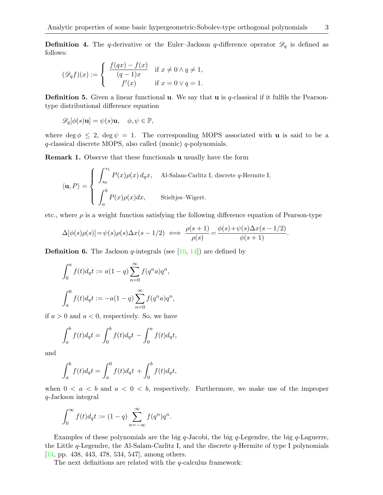**Definition 4.** The q-derivative or the Euler–Jackson q-difference operator  $\mathscr{D}_q$  is defined as follows:

$$
(\mathscr{D}_q f)(x) := \begin{cases} \begin{array}{c} f(qx) - f(x) \\ (q-1)x \end{array} & \text{if } x \neq 0 \land q \neq 1, \\ f'(x) & \text{if } x = 0 \lor q = 1. \end{cases}
$$

**Definition 5.** Given a linear functional **u**. We say that **u** is q-classical if it fulfils the Pearsontype distributional difference equation

$$
\mathscr{D}_q[\phi(s)\mathbf{u}] = \psi(s)\mathbf{u}, \quad \phi, \psi \in \mathbb{P},
$$

where deg  $\phi \leq 2$ , deg  $\psi = 1$ . The corresponding MOPS associated with **u** is said to be a q-classical discrete MOPS, also called (monic) q-polynomials.

Remark 1. Observe that these functionals u usually have the form

$$
\langle \mathbf{u}, P \rangle = \begin{cases} \int_{s_0}^{s_1} P(x) \rho(x) d_q x, & \text{Al-Salam-Carlitz I, discrete } q\text{-Hermite I,} \\ \int_a^b P(x) \rho(x) dx, & \text{Stieltjes-Wigert.} \end{cases}
$$

etc., where  $\rho$  is a weight function satisfying the following difference equation of Pearson-type

$$
\Delta[\phi(s)\rho(s)] = \psi(s)\rho(s)\Delta x(s-1/2) \iff \frac{\rho(s+1)}{\rho(s)} = \frac{\phi(s)+\psi(s)\Delta x(s-1/2)}{\phi(s+1)}.
$$

**Definition 6.** The Jackson  $q$ -integrals (see [\[10,](#page-16-4) [14\]](#page-16-5)) are defined by

$$
\int_0^a f(t)d_qt := a(1-q)\sum_{n=0}^{\infty} f(q^n a)q^n,
$$
  

$$
\int_a^0 f(t)d_qt := -a(1-q)\sum_{n=0}^{\infty} f(q^n a)q^n,
$$

if  $a > 0$  and  $a < 0$ , respectively. So, we have

$$
\int_a^b f(t)d_qt = \int_0^b f(t)d_qt - \int_0^a f(t)d_qt,
$$

and

$$
\int_{a}^{b} f(t) d_q t = \int_{a}^{0} f(t) d_q t + \int_{0}^{b} f(t) d_q t,
$$

when  $0 < a < b$  and  $a < 0 < b$ , respectively. Furthermore, we make use of the improper q-Jackson integral

$$
\int_0^\infty f(t)d_qt := (1-q)\sum_{n=-\infty}^\infty f(q^n)q^n.
$$

Examples of these polynomials are the big q-Jacobi, the big q-Legendre, the big q-Laguerre, the Little  $q$ -Legendre, the Al-Salam-Carlitz I, and the discrete  $q$ -Hermite of type I polynomials [\[14,](#page-16-5) pp. 438, 443, 478, 534, 547], among others.

The next definitions are related with the  $q$ -calculus framework: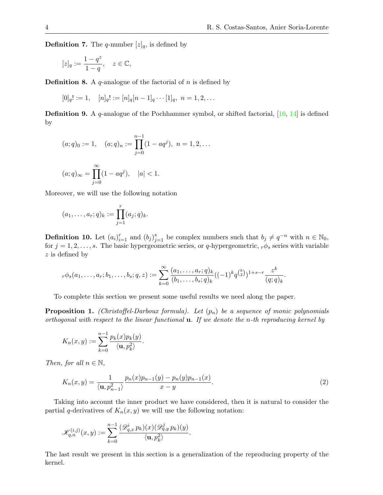**Definition 7.** The q-number  $[z]_q$ , is defined by

$$
[z]_q := \frac{1 - q^z}{1 - q}, \quad z \in \mathbb{C},
$$

**Definition 8.** A q-analogue of the factorial of  $n$  is defined by

$$
[0]_q! := 1, \quad [n]_q! := [n]_q [n-1]_q \cdots [1]_q, \ n = 1, 2, \ldots
$$

Definition 9. A q-analogue of the Pochhammer symbol, or shifted factorial, [\[10,](#page-16-4) [14\]](#page-16-5) is defined by

$$
(a;q)_0 := 1
$$
,  $(a;q)_n := \prod_{j=0}^{n-1} (1 - aq^j)$ ,  $n = 1,2,...$ 

$$
(a;q)_{\infty} = \prod_{j=0}^{\infty} (1 - aq^j), \quad |a| < 1.
$$

Moreover, we will use the following notation

$$
(a_1, \ldots, a_r; q)_k := \prod_{j=1}^r (a_j; q)_k.
$$

**Definition 10.** Let  $(a_i)_{i=1}^r$  and  $(b_j)_{j=1}^s$  be complex numbers such that  $b_j \neq q^{-n}$  with  $n \in \mathbb{N}_0$ , for  $j = 1, 2, \ldots, s$ . The basic hypergeometric series, or q-hypergeometric,  $r\phi_s$  series with variable z is defined by

$$
{}_r\phi_s(a_1,\ldots,a_r;b_1,\ldots,b_s;q,z):=\sum_{k=0}^\infty\frac{(a_1,\ldots,a_r;q)_k}{(b_1,\ldots,b_s;q)_k}((-1)^kq^{\binom{k}{2}})^{1+s-r}\frac{z^k}{(q;q)_k}.
$$

To complete this section we present some useful results we need along the paper.

**Proposition 1.** (Christoffel-Darboux formula). Let  $(p_n)$  be a sequence of monic polynomials orthogonal with respect to the linear functional  $\mathbf{u}$ . If we denote the n-th reproducing kernel by

$$
K_n(x,y) := \sum_{k=0}^{n-1} \frac{p_k(x)p_k(y)}{\langle \mathbf{u}, p_k^2 \rangle}
$$

Then, for all  $n \in \mathbb{N}$ ,

$$
K_n(x,y) = \frac{1}{\langle \mathbf{u}, p_{n-1}^2 \rangle} \frac{p_n(x)p_{n-1}(y) - p_n(y)p_{n-1}(x)}{x - y}.
$$
 (2)

Taking into account the inner product we have considered, then it is natural to consider the partial q-derivatives of  $K_n(x, y)$  we will use the following notation:

$$
\mathscr{K}_{q,n}^{(i,j)}(x,y) := \sum_{k=0}^{n-1} \frac{(\mathscr{D}_{q,x}^i p_k)(x) (\mathscr{D}_{q,y}^j p_k)(y)}{\langle \mathbf{u}, p_k^2 \rangle}.
$$

.

The last result we present in this section is a generalization of the reproducing property of the kernel.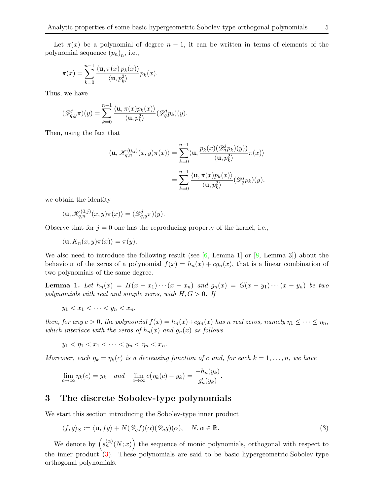$$
\pi(x) = \sum_{k=0}^{n-1} \frac{\langle \mathbf{u}, \pi(x) p_k(x) \rangle}{\langle \mathbf{u}, p_k^2 \rangle} p_k(x).
$$

Thus, we have

$$
(\mathscr{D}_{q,y}^j \pi)(y) = \sum_{k=0}^{n-1} \frac{\langle \mathbf{u}, \pi(x) p_k(x) \rangle}{\langle \mathbf{u}, p_k^2 \rangle} (\mathscr{D}_q^j p_k)(y).
$$

Then, using the fact that

$$
\langle \mathbf{u}, \mathcal{K}_{q,n}^{(0,j)}(x, y)\pi(x) \rangle = \sum_{k=0}^{n-1} \langle \mathbf{u}, \frac{p_k(x) (\mathscr{D}_q^j p_k)(y) \rangle}{\langle \mathbf{u}, p_k^2 \rangle} \pi(x) \rangle
$$

$$
= \sum_{k=0}^{n-1} \frac{\langle \mathbf{u}, \pi(x) p_k(x) \rangle}{\langle \mathbf{u}, p_k^2 \rangle} (\mathscr{D}_q^j p_k)(y).
$$

we obtain the identity

$$
\langle \mathbf{u}, \mathcal{K}_{q,n}^{(0,j)}(x,y)\pi(x) \rangle = (\mathscr{D}_{q,y}^j \pi)(y).
$$

Observe that for  $j = 0$  one has the reproducing property of the kernel, i.e.,

$$
\langle \mathbf{u}, K_n(x, y)\pi(x) \rangle = \pi(y).
$$

We also need to introduce the following result (see  $[6, \text{ Lemma 1}]$  $[6, \text{ Lemma 1}]$  or  $[8, \text{ Lemma 3}]$  $[8, \text{ Lemma 3}]$ ) about the behaviour of the zeros of a polynomial  $f(x) = h_n(x) + cg_n(x)$ , that is a linear combination of two polynomials of the same degree.

<span id="page-4-1"></span>**Lemma 1.** Let  $h_n(x) = H(x-x_1)\cdots(x-x_n)$  and  $g_n(x) = G(x-y_1)\cdots(x-y_n)$  be two polynomials with real and simple zeros, with  $H, G > 0$ . If

$$
y_1 < x_1 < \cdots < y_n < x_n
$$

then, for any  $c > 0$ , the polynomial  $f(x) = h_n(x) + cg_n(x)$  has n real zeros, namely  $\eta_1 \leq \cdots \leq \eta_n$ , which interlace with the zeros of  $h_n(x)$  and  $g_n(x)$  as follows

$$
y_1 < \eta_1 < x_1 < \cdots < y_n < \eta_n < x_n.
$$

Moreover, each  $\eta_k = \eta_k(c)$  is a decreasing function of c and, for each  $k = 1, \ldots, n$ , we have

$$
\lim_{c \to \infty} \eta_k(c) = y_k \quad and \quad \lim_{c \to \infty} c(\eta_k(c) - y_k) = \frac{-h_n(y_k)}{g'_n(y_k)}.
$$

# 3 The discrete Sobolev-type polynomials

We start this section introducing the Sobolev-type inner product

<span id="page-4-0"></span>
$$
\langle f, g \rangle_S := \langle \mathbf{u}, fg \rangle + N(\mathcal{D}_q f)(\alpha)(\mathcal{D}_q g)(\alpha), \quad N, \alpha \in \mathbb{R}.
$$
 (3)

We denote by  $(s_n^{(\alpha)}(N;x))$  the sequence of monic polynomials, orthogonal with respect to the inner product [\(3\)](#page-4-0). These polynomials are said to be basic hypergeometric-Sobolev-type orthogonal polynomials.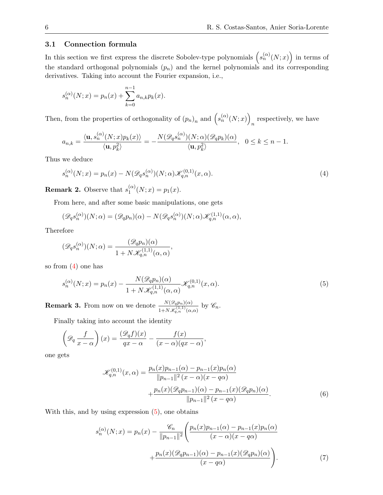# 3.1 Connection formula

In this section we first express the discrete Sobolev-type polynomials  $(s_n^{(\alpha)}(N;x))$  in terms of the standard orthogonal polynomials  $(p_n)$  and the kernel polynomials and its corresponding derivatives. Taking into account the Fourier expansion, i.e.,

$$
s_n^{(\alpha)}(N; x) = p_n(x) + \sum_{k=0}^{n-1} a_{n,k} p_k(x).
$$

Then, from the properties of orthogonality of  $(p_n)_n$  and  $(s_n^{(\alpha)}(N;x))$ respectively, we have

$$
a_{n,k} = \frac{\langle \mathbf{u}, s_n^{(\alpha)}(N;x)p_k(x) \rangle}{\langle \mathbf{u}, p_k^2 \rangle} = -\frac{N(\mathscr{D}_q s_n^{(\alpha)})(N;\alpha)(\mathscr{D}_q p_k)(\alpha)}{\langle \mathbf{u}, p_k^2 \rangle}, \quad 0 \le k \le n-1.
$$

Thus we deduce

<span id="page-5-0"></span>
$$
s_n^{(\alpha)}(N;x) = p_n(x) - N(\mathcal{D}_q s_n^{(\alpha)})(N;\alpha)\mathcal{K}_{q,n}^{(0,1)}(x,\alpha).
$$
\n(4)

**Remark 2.** Observe that  $s_1^{(\alpha)}$  $j_1^{(\alpha)}(N; x) = p_1(x).$ 

From here, and after some basic manipulations, one gets

$$
(\mathscr{D}_q s_n^{(\alpha)})(N; \alpha) = (\mathscr{D}_q p_n)(\alpha) - N(\mathscr{D}_q s_n^{(\alpha)})(N; \alpha) \mathscr{K}_{q,n}^{(1,1)}(\alpha, \alpha),
$$

Therefore

$$
(\mathscr{D}_q s_n^{(\alpha)})(N; \alpha) = \frac{(\mathscr{D}_q p_n)(\alpha)}{1 + N \mathscr{K}_{q,n}^{(1,1)}(\alpha, \alpha)},
$$

so from [\(4\)](#page-5-0) one has

<span id="page-5-1"></span>
$$
s_n^{(\alpha)}(N;x) = p_n(x) - \frac{N(\mathcal{D}_q p_n)(\alpha)}{1 + N \mathcal{K}_{q,n}^{(1,1)}(\alpha, \alpha)} \mathcal{K}_{q,n}^{(0,1)}(x, \alpha).
$$
\n(5)

<span id="page-5-2"></span>**Remark 3.** From now on we denote  $\frac{N(\mathscr{D}_{q}p_n)(\alpha)}{1+N\mathscr{K}_{q,n}^{(1,1)}(\alpha,\alpha)}$  by  $\mathscr{C}_n$ .

Finally taking into account the identity

$$
\left(\mathcal{D}_q \frac{f}{x-\alpha}\right)(x) = \frac{(\mathcal{D}_q f)(x)}{qx-\alpha} - \frac{f(x)}{(x-\alpha)(qx-\alpha)}
$$

one gets

$$
\mathcal{K}_{q,n}^{(0,1)}(x,\alpha) = \frac{p_n(x)p_{n-1}(\alpha) - p_{n-1}(x)p_n(\alpha)}{\|p_{n-1}\|^2 (x-\alpha)(x-q\alpha)} + \frac{p_n(x)(\mathcal{D}_q p_{n-1})(\alpha) - p_{n-1}(x)(\mathcal{D}_q p_n)(\alpha)}{\|p_{n-1}\|^2 (x-q\alpha)}.
$$
\n(6)

,

With this, and by using expression  $(5)$ , one obtains

$$
s_n^{(\alpha)}(N; x) = p_n(x) - \frac{\mathcal{C}_n}{\|p_{n-1}\|^2} \left( \frac{p_n(x)p_{n-1}(\alpha) - p_{n-1}(x)p_n(\alpha)}{(x - \alpha)(x - q\alpha)} + \frac{p_n(x)(\mathcal{D}_q p_{n-1})(\alpha) - p_{n-1}(x)(\mathcal{D}_q p_n)(\alpha)}{(x - q\alpha)} \right).
$$
(7)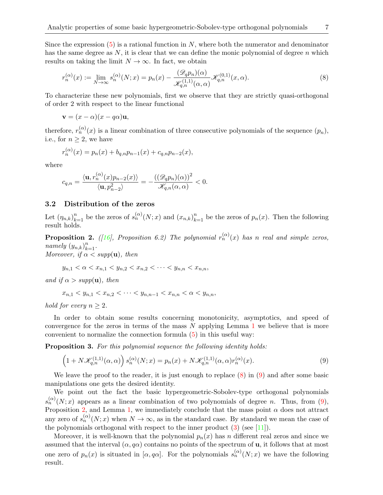Since the expression  $(5)$  is a rational function in N, where both the numerator and denominator has the same degree as N, it is clear that we can define the monic polynomial of degree n which results on taking the limit  $N \to \infty$ . In fact, we obtain

<span id="page-6-0"></span>
$$
r_n^{(\alpha)}(x) := \lim_{N \to \infty} s_n^{(\alpha)}(N; x) = p_n(x) - \frac{(\mathcal{D}_q p_n)(\alpha)}{\mathcal{K}_{q,n}^{(1,1)}(\alpha, \alpha)} \mathcal{K}_{q,n}^{(0,1)}(x, \alpha).
$$
 (8)

To characterize these new polynomials, first we observe that they are strictly quasi-orthogonal of order 2 with respect to the linear functional

$$
\mathbf{v} = (x - \alpha)(x - q\alpha)\mathbf{u},
$$

therefore,  $r_n^{(\alpha)}(x)$  is a linear combination of three consecutive polynomials of the sequence  $(p_n)$ , i.e., for  $n > 2$ , we have

$$
r_n^{(\alpha)}(x) = p_n(x) + b_{q,n}p_{n-1}(x) + c_{q,n}p_{n-2}(x),
$$

where

$$
c_{q,n}=\frac{\langle {\bf u},r_n^{(\alpha)}(x)p_{n-2}(x)\rangle}{\langle {\bf u},p_{n-2}^2\rangle}=-\frac{((\mathscr{D}_qp_n)(\alpha))^2}{\mathscr{K}_{q,n}(\alpha,\alpha)}<0.
$$

## 3.2 Distribution of the zeros

Let  $(\eta_{n,k})_{k=1}^n$  be the zeros of  $s_n^{(\alpha)}(N;x)$  and  $(x_{n,k})_{k=1}^n$  be the zeros of  $p_n(x)$ . Then the following result holds.

<span id="page-6-2"></span>**Proposition 2.** ([\[16\]](#page-17-1), Proposition 6.2) The polynomial  $r_n^{(\alpha)}(x)$  has n real and simple zeros, namely  $(y_{n,k})_{k=1}^n$ . Moreover, if  $\alpha < supp(u)$ , then

 $y_{n,1} < \alpha < x_{n,1} < y_{n,2} < x_{n,2} < \cdots < y_{n,n} < x_{n,n}$ 

and if  $\alpha > supp(\mathbf{u})$ , then

 $x_{n,1} < y_{n,1} < x_{n,2} < \cdots < y_{n,n-1} < x_{n,n} < \alpha < y_{n,n}$ 

hold for every  $n \geq 2$ .

In order to obtain some results concerning monotonicity, asymptotics, and speed of convergence for the zeros in terms of the mass  $N$  applying Lemma [1](#page-4-1) we believe that is more convenient to normalize the connection formula [\(5\)](#page-5-1) in this useful way:

Proposition 3. For this polynomial sequence the following identity holds:

<span id="page-6-1"></span>
$$
\left(1+N\mathcal{K}_{q,n}^{(1,1)}(\alpha,\alpha)\right)s_n^{(\alpha)}(N;x)=p_n(x)+N\mathcal{K}_{q,n}^{(1,1)}(\alpha,\alpha)r_n^{(\alpha)}(x).
$$
\n(9)

We leave the proof to the reader, it is just enough to replace  $(8)$  in  $(9)$  and after some basic manipulations one gets the desired identity.

We point out the fact the basic hypergeometric-Sobolev-type orthogonal polynomials  $s_n^{(\alpha)}(N;x)$  appears as a linear combination of two polynomials of degree n. Thus, from [\(9\)](#page-6-1), Proposition [2,](#page-6-2) and Lemma [1,](#page-4-1) we immediately conclude that the mass point  $\alpha$  does not attract any zero of  $s_n^{(\alpha)}(N; x)$  when  $N \to \infty$ , as in the standard case. By standard we mean the case of the polynomials orthogonal with respect to the inner product [\(3\)](#page-4-0) (see [\[11\]](#page-16-8)).

Moreover, it is well-known that the polynomial  $p_n(x)$  has n different real zeros and since we assumed that the interval  $(\alpha, q\alpha)$  contains no points of the spectrum of **u**, it follows that at most one zero of  $p_n(x)$  is situated in  $[\alpha, q\alpha]$ . For the polynomials  $s_n^{(\alpha)}(N; x)$  we have the following result.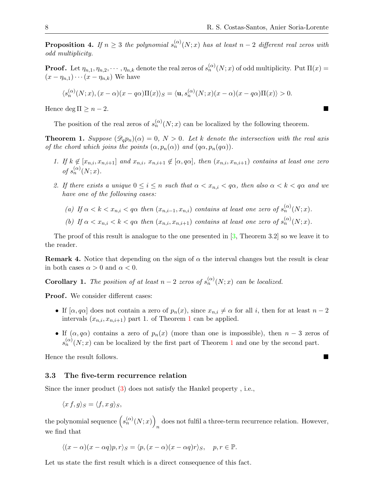**Proposition 4.** If  $n \geq 3$  the polynomial  $s_n^{(\alpha)}(N;x)$  has at least  $n-2$  different real zeros with odd multiplicity.

**Proof.** Let  $\eta_{n,1}, \eta_{n,2}, \cdots, \eta_{n,k}$  denote the real zeros of  $s_n^{(\alpha)}(N;x)$  of odd multiplicity. Put  $\Pi(x)$  =  $(x - \eta_{n,1}) \cdots (x - \eta_{n,k})$  We have

$$
\langle s_n^{(\alpha)}(N;x), (x-\alpha)(x-q\alpha)\Pi(x)\rangle_S = \langle \mathbf{u}, s_n^{(\alpha)}(N;x)(x-\alpha)(x-q\alpha)\Pi(x)\rangle > 0.
$$

Hence deg  $\Pi \geq n-2$ .

The position of the real zeros of  $s_n^{(\alpha)}(N; x)$  can be localized by the following theorem.

<span id="page-7-0"></span>**Theorem 1.** Suppose  $(\mathscr{D}_q p_n)(\alpha) = 0$ ,  $N > 0$ . Let k denote the intersection with the real axis of the chord which joins the points  $(\alpha, p_n(\alpha))$  and  $(q\alpha, p_n(q\alpha))$ .

- 1. If  $k \notin [x_{n,i}, x_{n,i+1}]$  and  $x_{n,i}, x_{n,i+1} \notin [\alpha, q\alpha]$ , then  $(x_{n,i}, x_{n,i+1})$  contains at least one zero of  $s_n^{(\alpha)}(N; x)$ .
- 2. If there exists a unique  $0 \leq i \leq n$  such that  $\alpha < x_{n,i} < q\alpha$ , then also  $\alpha < k < q\alpha$  and we have one of the following cases:
	- (a) If  $\alpha < k < x_{n,i} < q\alpha$  then  $(x_{n,i-1}, x_{n,i})$  contains at least one zero of  $s_n^{(\alpha)}(N; x)$ .
	- (b) If  $\alpha < x_{n,i} < k < q\alpha$  then  $(x_{n,i}, x_{n,i+1})$  contains at least one zero of  $s_n^{(\alpha)}(N; x)$ .

The proof of this result is analogue to the one presented in  $[3,$  Theorem 3.2 so we leave it to the reader.

**Remark 4.** Notice that depending on the sign of  $\alpha$  the interval changes but the result is clear in both cases  $\alpha > 0$  and  $\alpha < 0$ .

**Corollary 1.** The position of at least  $n-2$  zeros of  $s_n^{(\alpha)}(N;x)$  can be localized.

Proof. We consider different cases:

- If  $[\alpha, q\alpha]$  does not contain a zero of  $p_n(x)$ , since  $x_{n,i} \neq \alpha$  for all i, then for at least  $n-2$ intervals  $(x_{n,i}, x_{n,i+1})$  $(x_{n,i}, x_{n,i+1})$  $(x_{n,i}, x_{n,i+1})$  part 1. of Theorem 1 can be applied.
- If  $(\alpha, q\alpha)$  contains a zero of  $p_n(x)$  (more than one is impossible), then  $n-3$  zeros of  $s_n^{(\alpha)}(N;x)$  can be localized by the first part of Theorem [1](#page-7-0) and one by the second part.

Hence the result follows.

### 3.3 The five-term recurrence relation

Since the inner product [\(3\)](#page-4-0) does not satisfy the Hankel property , i.e.,

$$
\langle x f, g \rangle_S = \langle f, x g \rangle_S,
$$

the polynomial sequence  $(s_n^{(\alpha)}(N;x))$ does not fulfil a three-term recurrence relation. However, we find that

$$
\langle (x-\alpha)(x-\alpha q)p, r \rangle_S = \langle p, (x-\alpha)(x-\alpha q)r \rangle_S, \quad p, r \in \mathbb{P}.
$$

Let us state the first result which is a direct consequence of this fact.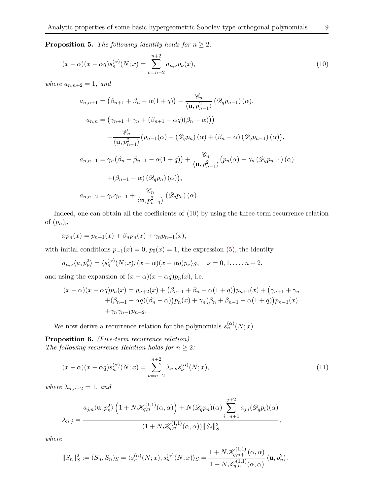**Proposition 5.** The following identity holds for  $n \geq 2$ :

$$
(x - \alpha)(x - \alpha q)s_n^{(\alpha)}(N; x) = \sum_{\nu=n-2}^{n+2} a_{n,\nu} p_{\nu}(x),
$$
\n(10)

where  $a_{n,n+2}=1$ , and

<span id="page-8-0"></span>
$$
a_{n,n+1} = (\beta_{n+1} + \beta_n - \alpha(1+q)) - \frac{\mathcal{C}_n}{\langle \mathbf{u}, p_{n-1}^2 \rangle} (\mathcal{D}_q p_{n-1}) (\alpha),
$$
  
\n
$$
a_{n,n} = (\gamma_{n+1} + \gamma_n + (\beta_{n+1} - \alpha q)(\beta_n - \alpha)))
$$
  
\n
$$
-\frac{\mathcal{C}_n}{\langle \mathbf{u}, p_{n-1}^2 \rangle} (p_{n-1}(\alpha) - (\mathcal{D}_q p_n) (\alpha) + (\beta_n - \alpha) (\mathcal{D}_q p_{n-1}) (\alpha)),
$$
  
\n
$$
a_{n,n-1} = \gamma_n (\beta_n + \beta_{n-1} - \alpha(1+q)) + \frac{\mathcal{C}_n}{\langle \mathbf{u}, p_{n-1}^2 \rangle} (p_n(\alpha) - \gamma_n (\mathcal{D}_q p_{n-1}) (\alpha) + (\beta_{n-1} - \alpha) (\mathcal{D}_q p_n) (\alpha)),
$$
  
\n
$$
a_{n,n-2} = \gamma_n \gamma_{n-1} + \frac{\mathcal{C}_n}{\langle \mathbf{u}, p_{n-1}^2 \rangle} (\mathcal{D}_q p_n) (\alpha).
$$

Indeed, one can obtain all the coefficients of  $(10)$  by using the three-term recurrence relation of  $(p_n)_n$ 

 $xp_n(x) = p_{n+1}(x) + \beta_n p_n(x) + \gamma_n p_{n-1}(x),$ 

with initial conditions  $p_{-1}(x) = 0$ ,  $p_0(x) = 1$ , the expression [\(5\)](#page-5-1), the identity

$$
a_{n,\nu}\langle u,p_{\nu}^2\rangle = \langle s_n^{(\alpha)}(N;x), (x-\alpha)(x-\alpha q)p_{\nu}\rangle_S, \quad \nu=0,1,\ldots,n+2,
$$

and using the expansion of  $(x - \alpha)(x - \alpha q)p_n(x)$ , i.e.

$$
(x - \alpha)(x - \alpha q)p_n(x) = p_{n+2}(x) + (\beta_{n+1} + \beta_n - \alpha(1+q))p_{n+1}(x) + (\gamma_{n+1} + \gamma_n + (\beta_{n+1} - \alpha q)(\beta_n - \alpha))p_n(x) + \gamma_n(\beta_n + \beta_{n-1} - \alpha(1+q))p_{n-1}(x) + \gamma_n\gamma_{n-1}p_{n-2}.
$$

We now derive a recurrence relation for the polynomials  $s_n^{(\alpha)}(N; x)$ .

Proposition 6. (Five-term recurrence relation) The following recurrence Relation holds for  $n \geq 2$ :

<span id="page-8-1"></span>
$$
(x - \alpha)(x - \alpha q)s_n^{(\alpha)}(N; x) = \sum_{\nu=n-2}^{n+2} \lambda_{n,\nu} s_{\nu}^{(\alpha)}(N; x),
$$
\n(11)

where  $\lambda_{n,n+2} = 1$ , and

$$
\lambda_{n,j} = \frac{a_{j,n} \langle \mathbf{u}, p_n^2 \rangle \left( 1 + N \mathcal{K}_{q,n}^{(1,1)}(\alpha, \alpha) \right) + N(\mathcal{D}_q p_n)(\alpha) \sum_{i=n+1}^{j+2} a_{j,i}(\mathcal{D}_q p_i)(\alpha)}{(1 + N \mathcal{K}_{q,n}^{(1,1)}(\alpha, \alpha)) \|S_j\|_S^2},
$$

where

$$
||S_n||_S^2 := (S_n, S_n)_S = \langle s_n^{(\alpha)}(N; x), s_n^{(\alpha)}(N; x) \rangle_S = \frac{1 + N \mathcal{K}_{q, n+1}^{(1,1)}(\alpha, \alpha)}{1 + N \mathcal{K}_{q, n}^{(1,1)}(\alpha, \alpha)} \langle \mathbf{u}, p_n^2 \rangle.
$$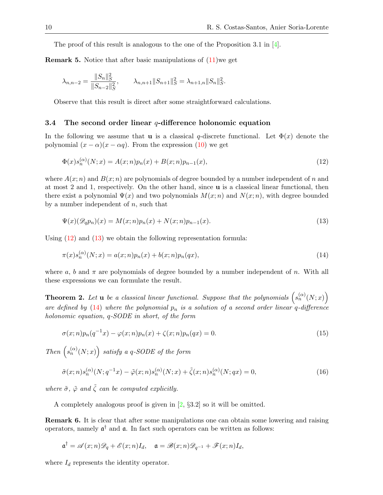The proof of this result is analogous to the one of the Proposition 3.1 in [\[4\]](#page-16-1).

**Remark 5.** Notice that after basic manipulations of  $(11)$  we get

$$
\lambda_{n,n-2} = \frac{||S_n||_S^2}{||S_{n-2}||_S^2}, \qquad \lambda_{n,n+1}||S_{n+1}||_S^2 = \lambda_{n+1,n}||S_n||_S^2.
$$

Observe that this result is direct after some straightforward calculations.

#### 3.4 The second order linear  $q$ -difference holonomic equation

In the following we assume that **u** is a classical q-discrete functional. Let  $\Phi(x)$  denote the polynomial  $(x - \alpha)(x - \alpha q)$ . From the expression [\(10\)](#page-8-0) we get

<span id="page-9-0"></span>
$$
\Phi(x)s_n^{(\alpha)}(N;x) = A(x;n)p_n(x) + B(x;n)p_{n-1}(x),\tag{12}
$$

where  $A(x; n)$  and  $B(x; n)$  are polynomials of degree bounded by a number independent of n and at most 2 and 1, respectively. On the other hand, since u is a classical linear functional, then there exist a polynomial  $\Psi(x)$  and two polynomials  $M(x; n)$  and  $N(x; n)$ , with degree bounded by a number independent of  $n$ , such that

<span id="page-9-2"></span><span id="page-9-1"></span>
$$
\Psi(x)(\mathcal{D}_q p_n)(x) = M(x;n)p_n(x) + N(x;n)p_{n-1}(x). \tag{13}
$$

Using [\(12\)](#page-9-0) and [\(13\)](#page-9-1) we obtain the following representation formula:

$$
\pi(x)s_n^{(\alpha)}(N;x) = a(x;n)p_n(x) + b(x;n)p_n(qx),
$$
\n(14)

where a, b and  $\pi$  are polynomials of degree bounded by a number independent of n. With all these expressions we can formulate the result.

**Theorem 2.** Let **u** be a classical linear functional. Suppose that the polynomials  $(s_n^{(\alpha)}(N; x))$ are defined by [\(14\)](#page-9-2) where the polynomial  $p_n$  is a solution of a second order linear q-difference holonomic equation, q-SODE in short, of the form

$$
\sigma(x;n)p_n(q^{-1}x) - \varphi(x;n)p_n(x) + \zeta(x;n)p_n(qx) = 0.
$$
\n(15)

Then  $(s_n^{(\alpha)}(N;x))$  satisfy a q-SODE of the form

$$
\tilde{\sigma}(x;n)s_n^{(\alpha)}(N;q^{-1}x) - \tilde{\varphi}(x;n)s_n^{(\alpha)}(N;x) + \tilde{\zeta}(x;n)s_n^{(\alpha)}(N;qx) = 0,
$$
\n(16)

where  $\tilde{\sigma}$ ,  $\tilde{\varphi}$  and  $\tilde{\zeta}$  can be computed explicitly.

A completely analogous proof is given in [\[2,](#page-16-9) §3.2] so it will be omitted.

Remark 6. It is clear that after some manipulations one can obtain some lowering and raising operators, namely  $\mathfrak{a}^{\dagger}$  and  $\mathfrak{a}$ . In fact such operators can be written as follows:

$$
\mathfrak{a}^\dagger=\mathscr{A}(x;n)\mathscr{D}_q+\mathscr{E}(x;n)I_d,\quad \mathfrak{a}=\mathscr{B}(x;n)\mathscr{D}_{q^{-1}}+\mathscr{F}(x;n)I_d,
$$

where  $I_d$  represents the identity operator.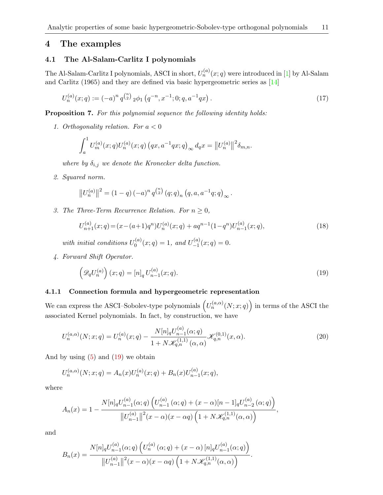# 4 The examples

## 4.1 The Al-Salam-Carlitz I polynomials

The Al-Salam-Carlitz I polynomials, ASCI in short,  $U_n^{(a)}(x;q)$  were introduced in [\[1\]](#page-16-10) by Al-Salam and Carlitz (1965) and they are defined via basic hypergeometric series as [\[14\]](#page-16-5)

$$
U_n^{(a)}(x;q) := (-a)^n q^{\binom{n}{2}} \, 2\phi_1 \left( q^{-n}, x^{-1}; 0; q, a^{-1}qx \right). \tag{17}
$$

Proposition 7. For this polynomial sequence the following identity holds:

1. Orthogonality relation. For  $a < 0$ 

<span id="page-10-1"></span>
$$
\int_a^1 U_m^{(a)}(x;q)U_n^{(a)}(x;q) (qx, a^{-1}qx;q)_{\infty} dqx = ||U_n^{(a)}||^2 \delta_{m,n}.
$$

where by  $\delta_{i,j}$  we denote the Kronecker delta function.

2. Squared norm.

$$
||U_n^{(a)}||^2 = (1-q)(-a)^n q^{\binom{n}{2}} (q;q)_n (q,a,a^{-1}q;q)_{\infty}.
$$

3. The Three-Term Recurrence Relation. For  $n \geq 0$ ,

$$
U_{n+1}^{(a)}(x;q) = (x - (a+1)q^n)U_n^{(a)}(x;q) + aq^{n-1}(1-q^n)U_{n-1}^{(a)}(x;q),
$$
\n(18)

with initial conditions  $U_0^{(a)}$  $C_0^{(a)}(x;q) = 1$ , and  $U_{-1}^{(a)}$  $\zeta_{-1}^{(a)}(x;q)=0.$ 

4. Forward Shift Operator.

<span id="page-10-2"></span><span id="page-10-0"></span>
$$
\left(\mathscr{D}_q U_n^{(a)}\right)(x;q) = [n]_q U_{n-1}^{(a)}(x;q). \tag{19}
$$

## 4.1.1 Connection formula and hypergeometric representation

We can express the ASCI–Sobolev-type polynomials  $(U_n^{(a,\alpha)}(N;x;q))$  in terms of the ASCI the associated Kernel polynomials. In fact, by construction, we have

$$
U_n^{(a,\alpha)}(N;x;q) = U_n^{(a)}(x;q) - \frac{N[n]_q U_{n-1}^{(a)}(\alpha;q)}{1 + N \mathcal{K}_{q,n}^{(1,1)}(\alpha,\alpha)} \mathcal{K}_{q,n}^{(0,1)}(x,\alpha).
$$
\n(20)

And by using  $(5)$  and  $(19)$  we obtain

$$
U_n^{(a,\alpha)}(N;x;q) = A_n(x)U_n^{(a)}(x;q) + B_n(x)U_{n-1}^{(a)}(x;q),
$$

where

$$
A_n(x) = 1 - \frac{N[n]_q U_{n-1}^{(a)}(\alpha;q) \left( U_{n-1}^{(a)}(\alpha;q) + (x - \alpha)[n-1]_q U_{n-2}^{(a)}(\alpha;q) \right)}{\left\| U_{n-1}^{(a)} \right\|^2 (x - \alpha)(x - \alpha q) \left( 1 + N \mathcal{K}_{q,n}^{(1,1)}(\alpha,\alpha) \right)},
$$

and

$$
B_n(x) = \frac{N[n]_q U_{n-1}^{(a)}(\alpha;q) \left( U_n^{(a)}(\alpha;q) + (x - \alpha) [n]_q U_{n-1}^{(a)}(\alpha;q) \right)}{\|U_{n-1}^{(a)}\|^2 (x - \alpha)(x - \alpha q) \left( 1 + N \mathcal{K}_{q,n}^{(1,1)}(\alpha,\alpha) \right)}.
$$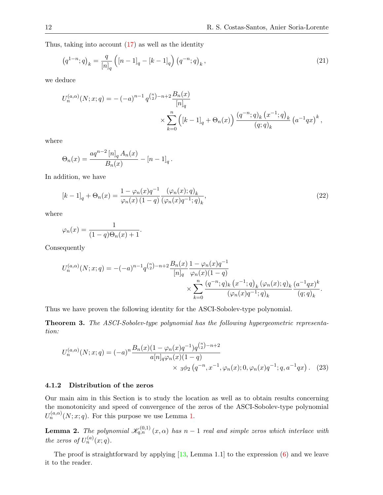Thus, taking into account [\(17\)](#page-10-1) as well as the identity

<span id="page-11-1"></span>
$$
(q^{1-n};q)_k = \frac{q}{[n]_q} \left( [n-1]_q - [k-1]_q \right) \left( q^{-n};q \right)_k, \tag{21}
$$

we deduce

$$
U_n^{(a,\alpha)}(N;x;q) = -(-a)^{n-1} q^{\binom{n}{2} - n + 2} \frac{B_n(x)}{[n]_q}
$$
  
\$\times \sum\_{k=0}^n \left( [k-1]\_q + \Theta\_n(x) \right) \frac{(q^{-n};q)\_k (x^{-1};q)\_k}{(q;q)\_k} (a^{-1}qx)^k ,

where

$$
\Theta_n(x) = \frac{aq^{n-2} [n]_q A_n(x)}{B_n(x)} - [n-1]_q.
$$

In addition, we have

<span id="page-11-2"></span>
$$
[k-1]_q + \Theta_n(x) = \frac{1 - \varphi_n(x)q^{-1}}{\varphi_n(x) (1-q)} \frac{(\varphi_n(x); q)_k}{(\varphi_n(x)q^{-1}; q)_k},
$$
\n(22)

where

$$
\varphi_n(x) = \frac{1}{(1-q)\Theta_n(x) + 1}.
$$

Consequently

$$
U_n^{(a,\alpha)}(N;x;q) = -(-a)^{n-1} q^{\binom{n}{2}-n+2} \frac{B_n(x)}{[n]_q} \frac{1-\varphi_n(x)q^{-1}}{\varphi_n(x)(1-q)} \times \sum_{k=0}^n \frac{(q^{-n};q)_k (x^{-1};q)_k (\varphi_n(x);q)_k (a^{-1}qx)^k}{(\varphi_n(x)q^{-1};q)_k} \frac{(a^{-1}qx)^k}{(q;q)_k}.
$$

Thus we have proven the following identity for the ASCI-Sobolev-type polynomial.

Theorem 3. The ASCI-Sobolev-type polynomial has the following hypergeometric representation:

<span id="page-11-0"></span>
$$
U_n^{(a,\alpha)}(N;x;q) = (-a)^n \frac{B_n(x)(1-\varphi_n(x)q^{-1})q^{\binom{n}{2}-n+2}}{a[n]_q\varphi_n(x)(1-q)} \times {}_3\varphi_2(q^{-n},x^{-1},\varphi_n(x);0,\varphi_n(x)q^{-1};q,a^{-1}qx). \tag{23}
$$

### 4.1.2 Distribution of the zeros

Our main aim in this Section is to study the location as well as to obtain results concerning the monotonicity and speed of convergence of the zeros of the ASCI-Sobolev-type polynomial  $U_n^{(a,\alpha)}(N;x;q)$ . For this purpose we use Lemma [1.](#page-4-1)

**Lemma 2.** The polynomial  $\mathscr{K}_{q,n}^{(0,1)}(x,\alpha)$  has  $n-1$  real and simple zeros which interlace with the zeros of  $U_n^{(a)}(x;q)$ .

The proof is straightforward by applying  $[13, \text{Lemma } 1.1]$  $[13, \text{Lemma } 1.1]$  to the expression  $(6)$  and we leave it to the reader.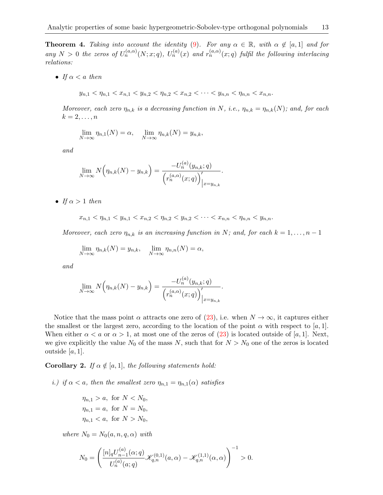**Theorem 4.** Taking into account the identity [\(9\)](#page-6-1). For any  $\alpha \in \mathbb{R}$ , with  $\alpha \notin [a,1]$  and for any  $N > 0$  the zeros of  $U_n^{(a,\alpha)}(N;x;q)$ ,  $U_n^{(a)}(x)$  and  $r_n^{(a,\alpha)}(x;q)$  fulfil the following interlacing relations:

• If  $\alpha < a$  then

$$
y_{n,1} < \eta_{n,1} < x_{n,1} < y_{n,2} < \eta_{n,2} < x_{n,2} < \cdots < y_{n,n} < \eta_{n,n} < x_{n,n}.
$$

Moreover, each zero  $\eta_{n,k}$  is a decreasing function in N, i.e.,  $\eta_{n,k} = \eta_{n,k}(N)$ ; and, for each  $k=2,\ldots,n$ 

$$
\lim_{N \to \infty} \eta_{n,1}(N) = \alpha, \quad \lim_{N \to \infty} \eta_{n,k}(N) = y_{n,k},
$$

and

$$
\lim_{N \to \infty} N(\eta_{n,k}(N) - y_{n,k}) = \frac{-U_n^{(a)}(y_{n,k};q)}{\left(r_n^{(a,\alpha)}(x;q)\right)'_{|x=y_{n,k}}}.
$$

• If  $\alpha > 1$  then

$$
x_{n,1} < \eta_{n,1} < y_{n,1} < x_{n,2} < \eta_{n,2} < y_{n,2} < \cdots < x_{n,n} < \eta_{n,n} < y_{n,n}.
$$

Moreover, each zero  $\eta_{n,k}$  is an increasing function in N; and, for each  $k = 1, \ldots, n - 1$ 

.

$$
\lim_{N \to \infty} \eta_{n,k}(N) = y_{n,k}, \quad \lim_{N \to \infty} \eta_{n,n}(N) = \alpha,
$$

and

$$
\lim_{N \to \infty} N\left(\eta_{n,k}(N) - y_{n,k}\right) = \frac{-U_n^{(a)}(y_{n,k};q)}{\left(r_n^{(a,\alpha)}(x;q)\right)'_{\big|x=y_{n,k}}}
$$

Notice that the mass point  $\alpha$  attracts one zero of [\(23\)](#page-11-0), i.e. when  $N \to \infty$ , it captures either the smallest or the largest zero, according to the location of the point  $\alpha$  with respect to [a, 1]. When either  $\alpha < a$  or  $\alpha > 1$ , at most one of the zeros of [\(23\)](#page-11-0) is located outside of [a, 1]. Next, we give explicitly the value  $N_0$  of the mass N, such that for  $N > N_0$  one of the zeros is located outside  $[a, 1]$ .

<span id="page-12-0"></span>**Corollary 2.** If  $\alpha \notin [a, 1]$ , the following statements hold:

i.) if  $\alpha < a$ , then the smallest zero  $\eta_{n,1} = \eta_{n,1}(\alpha)$  satisfies

$$
\eta_{n,1} > a, \text{ for } N < N_0,
$$
\n
$$
\eta_{n,1} = a, \text{ for } N = N_0,
$$
\n
$$
\eta_{n,1} < a, \text{ for } N > N_0,
$$

where  $N_0 = N_0(a, n, q, \alpha)$  with

$$
N_0=\left(\frac{[n]_q U^{(a)}_{n-1}(\alpha;q)}{U^{(a)}_n(a;q)}\mathscr{K}^{(0,1)}_{q,n}(a,\alpha)-\mathscr{K}^{(1,1)}_{q,n}(\alpha,\alpha)\right)^{-1}>0.
$$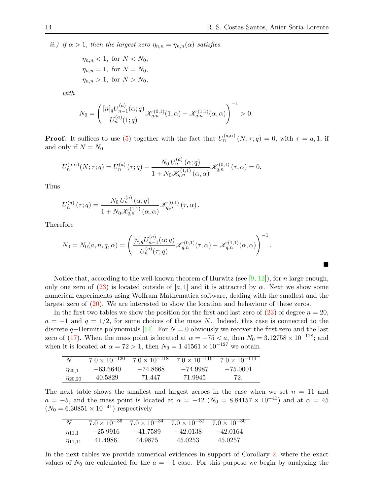П

ii.) if  $\alpha > 1$ , then the largest zero  $\eta_{n,n} = \eta_{n,n}(\alpha)$  satisfies

 $\eta_{n,n} < 1$ , for  $N < N_0$ ,  $\eta_{n,n} = 1$ , for  $N = N_0$ ,  $\eta_{n,n} > 1$ , for  $N > N_0$ ,

with

$$
N_0 = \left(\frac{[n]_q U_{n-1}^{(a)}(\alpha;q)}{U_n^{(a)}(1;q)} \mathcal{K}_{q,n}^{(0,1)}(1,\alpha) - \mathcal{K}_{q,n}^{(1,1)}(\alpha,\alpha)\right)^{-1} > 0.
$$

**Proof.** It suffices to use [\(5\)](#page-5-1) together with the fact that  $U_n^{(a,\alpha)}(N;\tau;q) = 0$ , with  $\tau = a,1$ , if and only if  $N = N_0$ 

$$
U_n^{(a,\alpha)}(N;\tau;q) = U_n^{(a)}(\tau;q) - \frac{N_0 U_n^{(a)}(\alpha;q)}{1 + N_0 \mathcal{K}_{q,n}^{(1,1)}(\alpha,\alpha)} \mathcal{K}_{q,n}^{(0,1)}(\tau,\alpha) = 0.
$$

Thus

$$
U_n^{(a)}(\tau;q) = \frac{N_0 U_n^{(a)}(\alpha;q)}{1 + N_0 \mathcal{K}_{q,n}^{(1,1)}(\alpha,\alpha)} \mathcal{K}_{q,n}^{(0,1)}(\tau,\alpha).
$$

Therefore

$$
N_0 = N_0(a, n, q, \alpha) = \left( \frac{[n]_q U_{n-1}^{(a)}(\alpha; q)}{U_n^{(a)}(\tau; q)} \mathcal{K}_{q,n}^{(0,1)}(\tau, \alpha) - \mathcal{K}_{q,n}^{(1,1)}(\alpha, \alpha) \right)^{-1}.
$$

Notice that, according to the well-known theorem of Hurwitz (see [\[9,](#page-16-12) [12\]](#page-16-13)), for n large enough, only one zero of [\(23\)](#page-11-0) is located outside of [a, 1] and it is attracted by  $\alpha$ . Next we show some numerical experiments using Wolfram Mathematica software, dealing with the smallest and the largest zero of [\(20\)](#page-10-2). We are interested to show the location and behaviour of these zeros.

In the first two tables we show the position for the first and last zero of  $(23)$  of degree  $n = 20$ ,  $a = -1$  and  $q = 1/2$ , for some choices of the mass N. Indeed, this case is connected to the discrete q–Hermite polynomials [\[14\]](#page-16-5). For  $N = 0$  obviously we recover the first zero and the last zero of [\(17\)](#page-10-1). When the mass point is located at  $\alpha = -75 < a$ , then  $N_0 = 3.12758 \times 10^{-128}$ ; and when it is located at  $\alpha = 72 > 1$ , then  $N_0 = 1.41561 \times 10^{-127}$  we obtain

| N              |            | $7.0 \times 10^{-120}$ $7.0 \times 10^{-118}$ $7.0 \times 10^{-116}$ $7.0 \times 10^{-114}$ |            |            |
|----------------|------------|---------------------------------------------------------------------------------------------|------------|------------|
| $\eta_{20.1}$  | $-63.6640$ | -74.8668                                                                                    | $-74.9987$ | $-75.0001$ |
| $\eta_{20,20}$ | 40.5829    | 71.447                                                                                      | 71.9945    | 72.        |

The next table shows the smallest and largest zeroes in the case when we set  $n = 11$  and  $a = -5$ , and the mass point is located at  $\alpha = -42$  ( $N_0 = 8.84157 \times 10^{-41}$ ) and at  $\alpha = 45$  $(N_0 = 6.30851 \times 10^{-41})$  respectively

|                | $7.0 \times 10^{-36}$ | $7.0 \times 10^{-34}$ | $7.0 \times 10^{-32}$ | $7.0 \times 10^{-30}$ |
|----------------|-----------------------|-----------------------|-----------------------|-----------------------|
| $\eta_{11.1}$  | $-25.9916$            | $-41.7589$            | $-42.0138$            | $-42.0164$            |
| $\eta_{11.11}$ | 41.4986               | 44.9875               | 45.0253               | 45.0257               |

In the next tables we provide numerical evidences in support of Corollary [2,](#page-12-0) where the exact values of  $N_0$  are calculated for the  $a = -1$  case. For this purpose we begin by analyzing the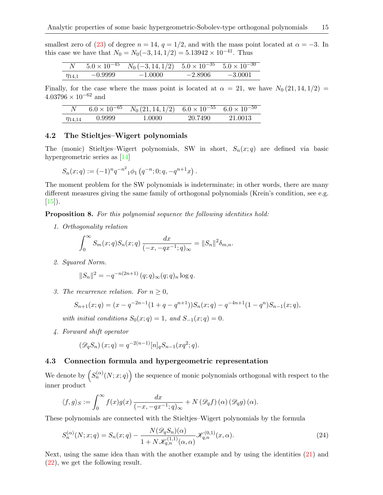smallest zero of [\(23\)](#page-11-0) of degree  $n = 14$ ,  $q = 1/2$ , and with the mass point located at  $\alpha = -3$ . In this case we have that  $N_0 = N_0(-3, 14, 1/2) = 5.13942 \times 10^{-41}$ . Thus

|               |           | $5.0 \times 10^{-45}$ $N_0(-3, 14, 1/2)$ $5.0 \times 10^{-35}$ $5.0 \times 10^{-30}$ |           |           |
|---------------|-----------|--------------------------------------------------------------------------------------|-----------|-----------|
| $\eta_{14,1}$ | $-0.9999$ | $-1.0000$                                                                            | $-2.8906$ | $-3.0001$ |

Finally, for the case where the mass point is located at  $\alpha = 21$ , we have  $N_0(21, 14, 1/2)$  $4.03796 \times 10^{-62}$  and

|                | $6.0 \times 10^{-65}$ | $N_0(21, 14, 1/2)$ $6.0 \times 10^{-55}$ $6.0 \times 10^{-50}$ |         |         |
|----------------|-----------------------|----------------------------------------------------------------|---------|---------|
| $\eta_{14.14}$ | 0.9999                | 1.0000                                                         | 20.7490 | 21.0013 |

# 4.2 The Stieltjes–Wigert polynomials

The (monic) Stieltjes–Wigert polynomials, SW in short,  $S_n(x; q)$  are defined via basic hypergeometric series as [\[14\]](#page-16-5)

$$
S_n(x;q) := (-1)^n q^{-n^2} \, \phi_1\left(q^{-n}; 0; q, -q^{n+1}x\right).
$$

The moment problem for the SW polynomials is indeterminate; in other words, there are many different measures giving the same family of orthogonal polynomials (Krein's condition, see e.g.  $[15]$ .

Proposition 8. For this polynomial sequence the following identities hold:

1. Orthogonality relation

$$
\int_0^{\infty} S_m(x; q) S_n(x; q) \frac{dx}{(-x, -qx^{-1}; q)_{\infty}} = ||S_n||^2 \delta_{m,n}.
$$

2. Squared Norm.

$$
||S_n||^2 = -q^{-n(2n+1)} (q;q)_{\infty}(q;q)_n \log q.
$$

3. The recurrence relation. For  $n \geq 0$ ,

$$
S_{n+1}(x;q) = (x - q^{-2n-1}(1+q-q^{n+1}))S_n(x;q) - q^{-4n+1}(1-q^n)S_{n-1}(x;q),
$$

with initial conditions  $S_0(x; q) = 1$ , and  $S_{-1}(x; q) = 0$ .

4. Forward shift operator

$$
(\mathscr{D}_q S_n)(x;q) = q^{-2(n-1)}[n]_q S_{n-1}(xq^2;q).
$$

## 4.3 Connection formula and hypergeometric representation

We denote by  $(S_n^{(\alpha)}(N;x;q))$  the sequence of monic polynomials orthogonal with respect to the inner product

$$
\langle f, g \rangle_S := \int_0^\infty f(x)g(x) \frac{dx}{(-x, -qx^{-1}; q)_\infty} + N\left(\mathscr{D}_q f\right)(\alpha)\left(\mathscr{D}_q g\right)(\alpha).
$$

These polynomials are connected with the Stieltjes–Wigert polynomials by the formula

$$
S_n^{(\alpha)}(N; x; q) = S_n(x; q) - \frac{N(\mathcal{D}_q S_n)(\alpha)}{1 + N \mathcal{K}_{q,n}^{(1,1)}(\alpha, \alpha)} \mathcal{K}_{q,n}^{(0,1)}(x, \alpha).
$$
\n(24)

Next, using the same idea than with the another example and by using the identities [\(21\)](#page-11-1) and [\(22\)](#page-11-2), we get the following result.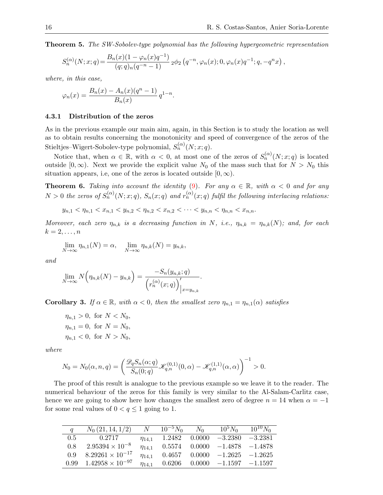Theorem 5. The SW-Sobolev-type polynomial has the following hypergeometric representation

$$
S_n^{(\alpha)}(N;x;q) = \frac{B_n(x)(1-\varphi_n(x)q^{-1})}{(q;q)_n(q^{-n}-1)} 2\phi_2(q^{-n},\varphi_n(x);0,\varphi_n(x)q^{-1};q,-q^nx),
$$

where, in this case,

$$
\varphi_n(x) = \frac{B_n(x) - A_n(x)(q^n - 1)}{B_n(x)} q^{1 - n}.
$$

#### 4.3.1 Distribution of the zeros

As in the previous example our main aim, again, in this Section is to study the location as well as to obtain results concerning the monotonicity and speed of convergence of the zeros of the Stieltjes–Wigert-Sobolev-type polynomial,  $S_n^{(\alpha)}(N;x;q)$ .

Notice that, when  $\alpha \in \mathbb{R}$ , with  $\alpha < 0$ , at most one of the zeros of  $S_n^{(\alpha)}(N; x; q)$  is located outside  $[0, \infty)$ . Next we provide the explicit value  $N_0$  of the mass such that for  $N > N_0$  this situation appears, i.e, one of the zeros is located outside  $[0, \infty)$ .

**Theorem 6.** Taking into account the identity [\(9\)](#page-6-1). For any  $\alpha \in \mathbb{R}$ , with  $\alpha < 0$  and for any  $N>0$  the zeros of  $S_n^{(\alpha)}(N;x;q)$ ,  $S_n(x;q)$  and  $r_n^{(\alpha)}(x;q)$  fulfil the following interlacing relations:

$$
y_{n,1} < \eta_{n,1} < x_{n,1} < y_{n,2} < \eta_{n,2} < x_{n,2} < \cdots < y_{n,n} < \eta_{n,n} < x_{n,n}.
$$

Moreover, each zero  $\eta_{n,k}$  is a decreasing function in N, i.e.,  $\eta_{n,k} = \eta_{n,k}(N)$ ; and, for each  $k=2,\ldots,n$ 

.

$$
\lim_{N \to \infty} \eta_{n,1}(N) = \alpha, \quad \lim_{N \to \infty} \eta_{n,k}(N) = y_{n,k},
$$

and

$$
\lim_{N \to \infty} N\left(\eta_{n,k}(N) - y_{n,k}\right) = \frac{-S_n(y_{n,k};q)}{\left(r_n^{(\alpha)}(x;q)\right)'_{\big|x = y_{n,k}}}
$$

Corollary 3. If  $\alpha \in \mathbb{R}$ , with  $\alpha < 0$ , then the smallest zero  $\eta_{n,1} = \eta_{n,1}(\alpha)$  satisfies

 $\eta_{n,1} > 0$ , for  $N < N_0$ ,  $\eta_{n,1} = 0$ , for  $N = N_0$ ,  $\eta_{n,1} < 0$ , for  $N > N_0$ ,

where

$$
N_0 = N_0(\alpha, n, q) = \left(\frac{\mathcal{D}_q S_n(\alpha; q)}{S_n(0; q)} \mathcal{K}_{q,n}^{(0,1)}(0, \alpha) - \mathcal{K}_{q,n}^{(1,1)}(\alpha, \alpha)\right)^{-1} > 0.
$$

The proof of this result is analogue to the previous example so we leave it to the reader. The numerical behaviour of the zeros for this family is very similar to the Al-Salam-Carlitz case, hence we are going to show here how changes the smallest zero of degree  $n = 14$  when  $\alpha = -1$ for some real values of  $0 < q \leq 1$  going to 1.

| $\mathfrak{a}$ | $N_0(21, 14, 1/2)$ $N = 10^{-5}N_0$ $N_0$ |                        |  | $10^5 N_0$ $10^{10} N_0$              |           |
|----------------|-------------------------------------------|------------------------|--|---------------------------------------|-----------|
| 0.5            | 0.2717                                    | $\eta$ <sub>14.1</sub> |  | $1.2482$ $0.0000$ $-3.2380$           | $-3.2381$ |
| 0.8            | $2.95394 \times 10^{-8}$                  | $n_{14.1}$             |  | $0.5574$ $0.0000$ $-1.4878$ $-1.4878$ |           |
| 0.9            | $8.29261 \times 10^{-17}$                 | $\eta_{14.1}$          |  | $0.4657$ $0.0000$ $-1.2625$ $-1.2625$ |           |
|                | $0.99 \quad 1.42958 \times 10^{-97}$      | $\eta_{14.1}$          |  | $0.6206$ $0.0000$ $-1.1597$ $-1.1597$ |           |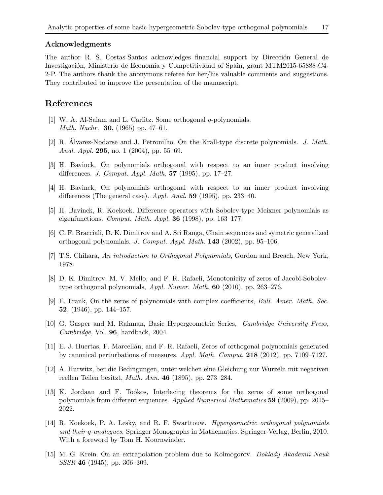## Acknowledgments

The author R. S. Costas-Santos acknowledges financial support by Dirección General de Investigación, Ministerio de Economía y Competitividad of Spain, grant MTM2015-65888-C4-2-P. The authors thank the anonymous referee for her/his valuable comments and suggestions. They contributed to improve the presentation of the manuscript.

# References

- <span id="page-16-10"></span>[1] W. A. Al-Salam and L. Carlitz. Some orthogonal q-polynomials. *Math. Nachr.* **30**, (1965) pp. 47–61.
- <span id="page-16-9"></span>[2] R. Álvarez-Nodarse and J. Petronilho. On the Krall-type discrete polynomials. J. Math. Anal. Appl. 295, no. 1 (2004), pp. 55–69.
- <span id="page-16-0"></span>[3] H. Bavinck, On polynomials orthogonal with respect to an inner product involving differences. J. Comput. Appl. Math. 57 (1995), pp. 17–27.
- <span id="page-16-1"></span>[4] H. Bavinck, On polynomials orthogonal with respect to an inner product involving differences (The general case). Appl. Anal. **59** (1995), pp. 233–40.
- <span id="page-16-2"></span>[5] H. Bavinck, R. Koekoek. Difference operators with Sobolev-type Meixner polynomials as eigenfunctions. *Comput. Math. Appl.* **36** (1998), pp. 163–177.
- <span id="page-16-6"></span>[6] C. F. Bracciali, D. K. Dimitrov and A. Sri Ranga, Chain sequences and symetric generalized orthogonal polynomials. J. Comput. Appl. Math. 143 (2002), pp. 95–106.
- <span id="page-16-3"></span>[7] T.S. Chihara, An introduction to Orthogonal Polynomials, Gordon and Breach, New York, 1978.
- <span id="page-16-7"></span>[8] D. K. Dimitrov, M. V. Mello, and F. R. Rafaeli, Monotonicity of zeros of Jacobi-Sobolevtype orthogonal polynomials, Appl. Numer. Math. 60 (2010), pp. 263–276.
- <span id="page-16-12"></span>[9] E. Frank, On the zeros of polynomials with complex coefficients, Bull. Amer. Math. Soc. 52, (1946), pp. 144–157.
- <span id="page-16-4"></span>[10] G. Gasper and M. Rahman, Basic Hypergeometric Series, Cambridge University Press, Cambridge, Vol. 96, hardback, 2004.
- <span id="page-16-8"></span>[11] E. J. Huertas, F. Marcell´an, and F. R. Rafaeli, Zeros of orthogonal polynomials generated by canonical perturbations of measures, Appl. Math. Comput. 218 (2012), pp. 7109–7127.
- <span id="page-16-13"></span>[12] A. Hurwitz, ber die Bedingungen, unter welchen eine Gleichung nur Wurzeln mit negativen reellen Teilen besitzt, Math. Ann. 46 (1895), pp. 273–284.
- <span id="page-16-11"></span>[13] K. Jordaan and F. Toókos, Interlacing theorems for the zeros of some orthogonal polynomials from different sequences. Applied Numerical Mathematics 59 (2009), pp. 2015– 2022.
- <span id="page-16-5"></span>[14] R. Koekoek, P. A. Lesky, and R. F. Swarttouw. Hypergeometric orthogonal polynomials and their q-analogues. Springer Monographs in Mathematics. Springer-Verlag, Berlin, 2010. With a foreword by Tom H. Koornwinder.
- <span id="page-16-14"></span>[15] M. G. Krein. On an extrapolation problem due to Kolmogorov. Doklady Akademii Nauk SSSR 46 (1945), pp. 306–309.